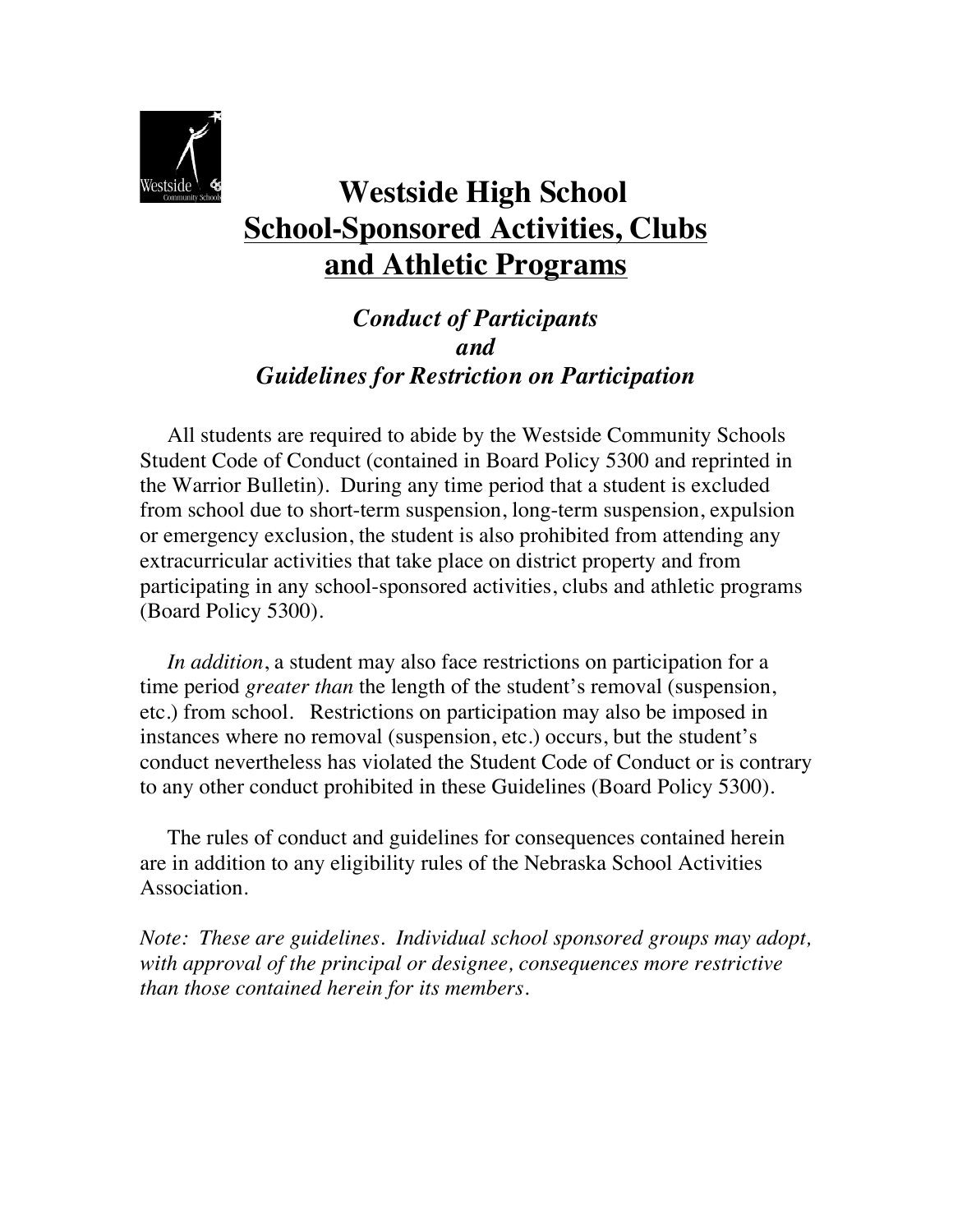

# **Westside High School School-Sponsored Activities, Clubs and Athletic Programs**

*Conduct of Participants and Guidelines for Restriction on Participation*

 All students are required to abide by the Westside Community Schools Student Code of Conduct (contained in Board Policy 5300 and reprinted in the Warrior Bulletin). During any time period that a student is excluded from school due to short-term suspension, long-term suspension, expulsion or emergency exclusion, the student is also prohibited from attending any extracurricular activities that take place on district property and from participating in any school-sponsored activities, clubs and athletic programs (Board Policy 5300).

 *In addition*, a student may also face restrictions on participation for a time period *greater than* the length of the student's removal (suspension, etc.) from school. Restrictions on participation may also be imposed in instances where no removal (suspension, etc.) occurs, but the student's conduct nevertheless has violated the Student Code of Conduct or is contrary to any other conduct prohibited in these Guidelines (Board Policy 5300).

 The rules of conduct and guidelines for consequences contained herein are in addition to any eligibility rules of the Nebraska School Activities Association.

*Note: These are guidelines. Individual school sponsored groups may adopt, with approval of the principal or designee, consequences more restrictive than those contained herein for its members.*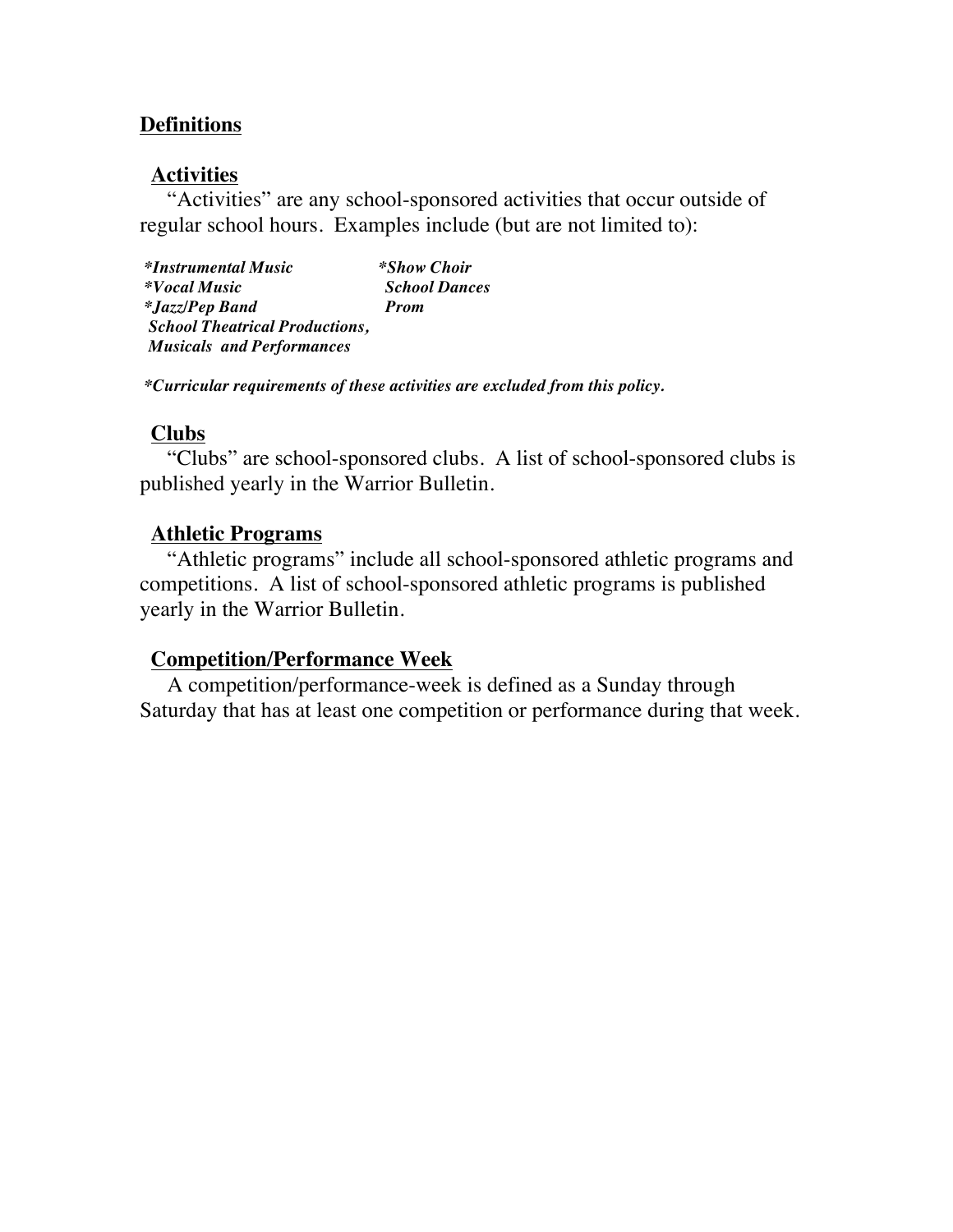### **Definitions**

#### **Activities**

 "Activities" are any school-sponsored activities that occur outside of regular school hours. Examples include (but are not limited to):

*\*Instrumental Music \*Show Choir \*Vocal Music School Dances \*Jazz/Pep Band Prom School Theatrical Productions, Musicals and Performances* 

*\*Curricular requirements of these activities are excluded from this policy.*

#### **Clubs**

 "Clubs" are school-sponsored clubs. A list of school-sponsored clubs is published yearly in the Warrior Bulletin.

#### **Athletic Programs**

 "Athletic programs" include all school-sponsored athletic programs and competitions. A list of school-sponsored athletic programs is published yearly in the Warrior Bulletin.

#### **Competition/Performance Week**

 A competition/performance-week is defined as a Sunday through Saturday that has at least one competition or performance during that week.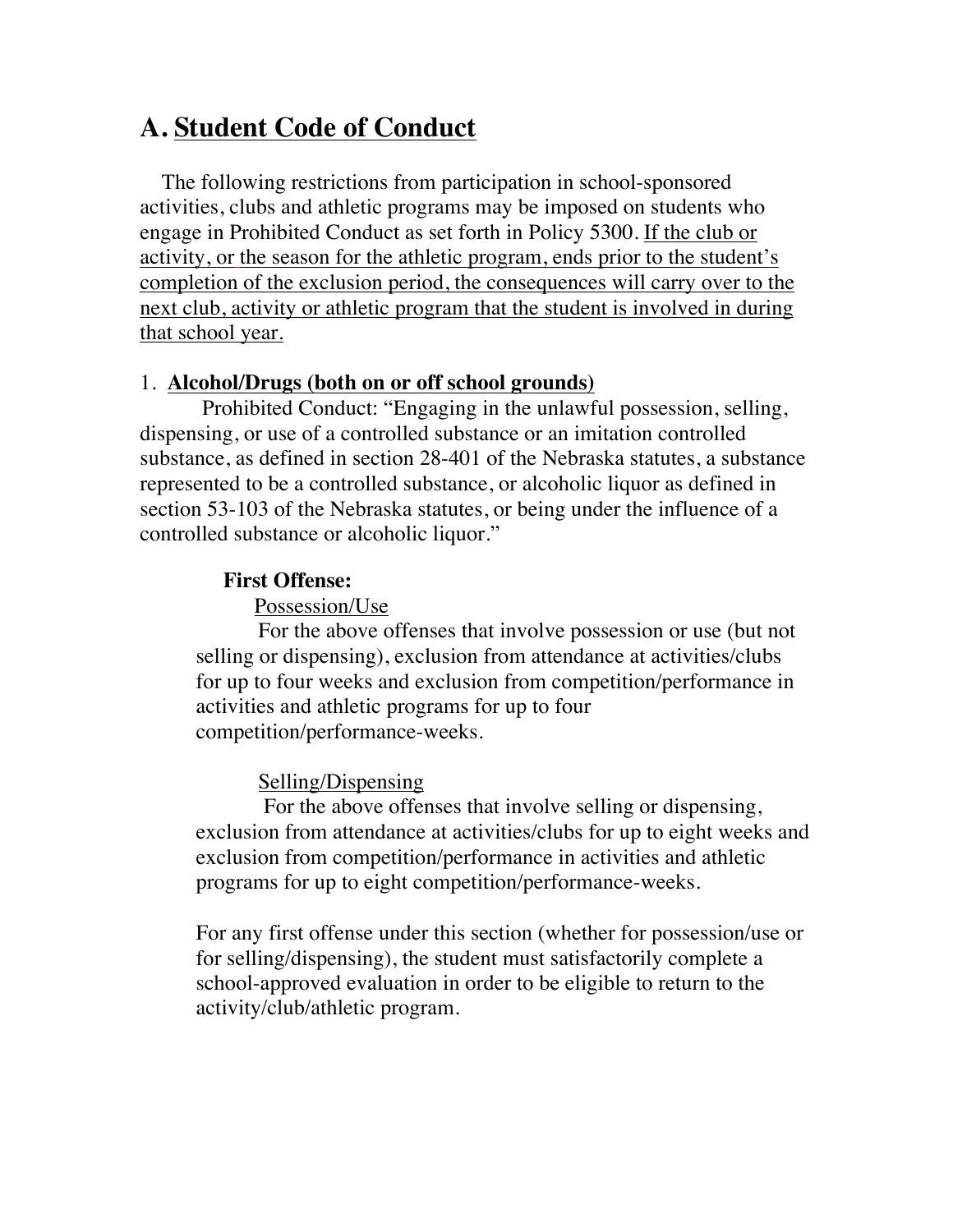## **A. Student Code of Conduct**

 The following restrictions from participation in school-sponsored activities, clubs and athletic programs may be imposed on students who engage in Prohibited Conduct as set forth in Policy 5300. If the club or activity, or the season for the athletic program, ends prior to the student's completion of the exclusion period, the consequences will carry over to the next club, activity or athletic program that the student is involved in during that school year.

#### 1. **Alcohol/Drugs (both on or off school grounds)**

 Prohibited Conduct: "Engaging in the unlawful possession, selling, dispensing, or use of a controlled substance or an imitation controlled substance, as defined in section 28-401 of the Nebraska statutes, a substance represented to be a controlled substance, or alcoholic liquor as defined in section 53-103 of the Nebraska statutes, or being under the influence of a controlled substance or alcoholic liquor."

### **First Offense:**

Possession/Use

For the above offenses that involve possession or use (but not selling or dispensing), exclusion from attendance at activities/clubs for up to four weeks and exclusion from competition/performance in activities and athletic programs for up to four competition/performance-weeks.

### Selling/Dispensing

For the above offenses that involve selling or dispensing, exclusion from attendance at activities/clubs for up to eight weeks and exclusion from competition/performance in activities and athletic programs for up to eight competition/performance-weeks.

For any first offense under this section (whether for possession/use or for selling/dispensing), the student must satisfactorily complete a school-approved evaluation in order to be eligible to return to the activity/club/athletic program.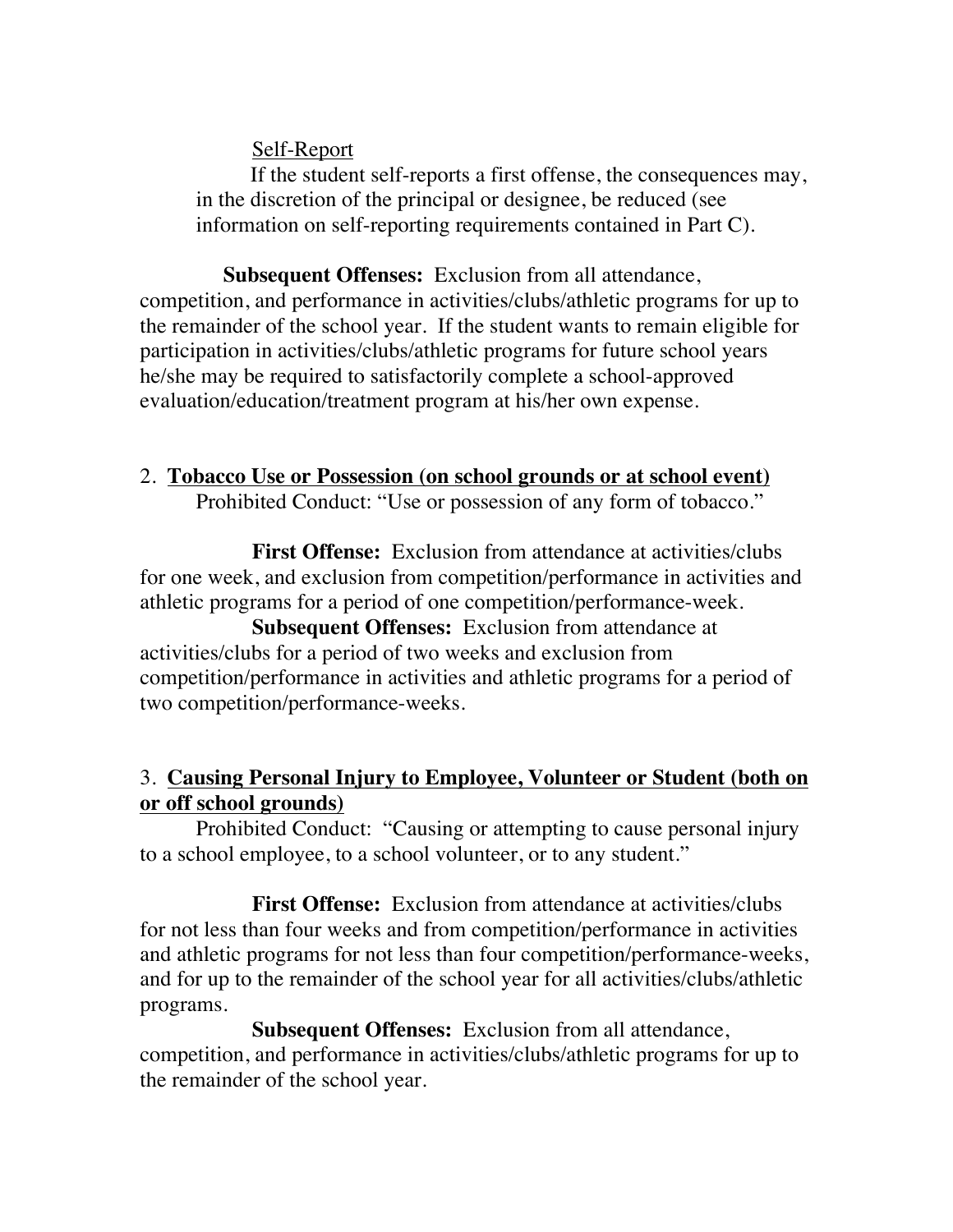Self-Report

 If the student self-reports a first offense, the consequences may, in the discretion of the principal or designee, be reduced (see information on self-reporting requirements contained in Part C).

 **Subsequent Offenses:** Exclusion from all attendance, competition, and performance in activities/clubs/athletic programs for up to the remainder of the school year. If the student wants to remain eligible for participation in activities/clubs/athletic programs for future school years he/she may be required to satisfactorily complete a school-approved evaluation/education/treatment program at his/her own expense.

## 2. **Tobacco Use or Possession (on school grounds or at school event)**

Prohibited Conduct: "Use or possession of any form of tobacco."

**First Offense:** Exclusion from attendance at activities/clubs for one week, and exclusion from competition/performance in activities and athletic programs for a period of one competition/performance-week.

**Subsequent Offenses:** Exclusion from attendance at activities/clubs for a period of two weeks and exclusion from competition/performance in activities and athletic programs for a period of two competition/performance-weeks.

## 3. **Causing Personal Injury to Employee, Volunteer or Student (both on or off school grounds)**

Prohibited Conduct: "Causing or attempting to cause personal injury to a school employee, to a school volunteer, or to any student."

**First Offense:** Exclusion from attendance at activities/clubs for not less than four weeks and from competition/performance in activities and athletic programs for not less than four competition/performance-weeks, and for up to the remainder of the school year for all activities/clubs/athletic programs.

**Subsequent Offenses:** Exclusion from all attendance, competition, and performance in activities/clubs/athletic programs for up to the remainder of the school year.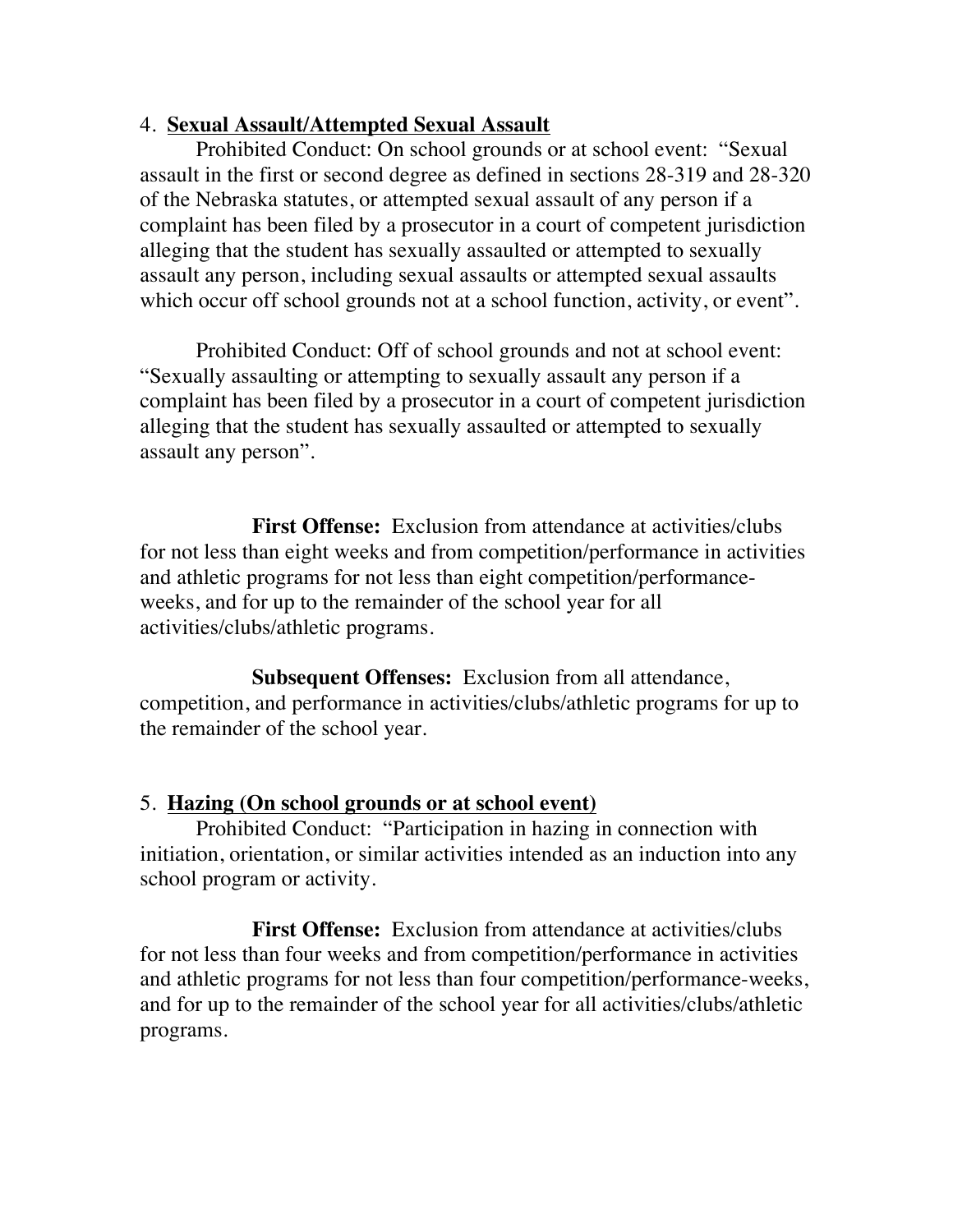#### 4. **Sexual Assault/Attempted Sexual Assault**

Prohibited Conduct: On school grounds or at school event: "Sexual assault in the first or second degree as defined in sections 28-319 and 28-320 of the Nebraska statutes, or attempted sexual assault of any person if a complaint has been filed by a prosecutor in a court of competent jurisdiction alleging that the student has sexually assaulted or attempted to sexually assault any person, including sexual assaults or attempted sexual assaults which occur off school grounds not at a school function, activity, or event".

Prohibited Conduct: Off of school grounds and not at school event: "Sexually assaulting or attempting to sexually assault any person if a complaint has been filed by a prosecutor in a court of competent jurisdiction alleging that the student has sexually assaulted or attempted to sexually assault any person".

**First Offense:** Exclusion from attendance at activities/clubs for not less than eight weeks and from competition/performance in activities and athletic programs for not less than eight competition/performanceweeks, and for up to the remainder of the school year for all activities/clubs/athletic programs.

**Subsequent Offenses:** Exclusion from all attendance, competition, and performance in activities/clubs/athletic programs for up to the remainder of the school year.

#### 5. **Hazing (On school grounds or at school event)**

Prohibited Conduct: "Participation in hazing in connection with initiation, orientation, or similar activities intended as an induction into any school program or activity.

**First Offense:** Exclusion from attendance at activities/clubs for not less than four weeks and from competition/performance in activities and athletic programs for not less than four competition/performance-weeks, and for up to the remainder of the school year for all activities/clubs/athletic programs.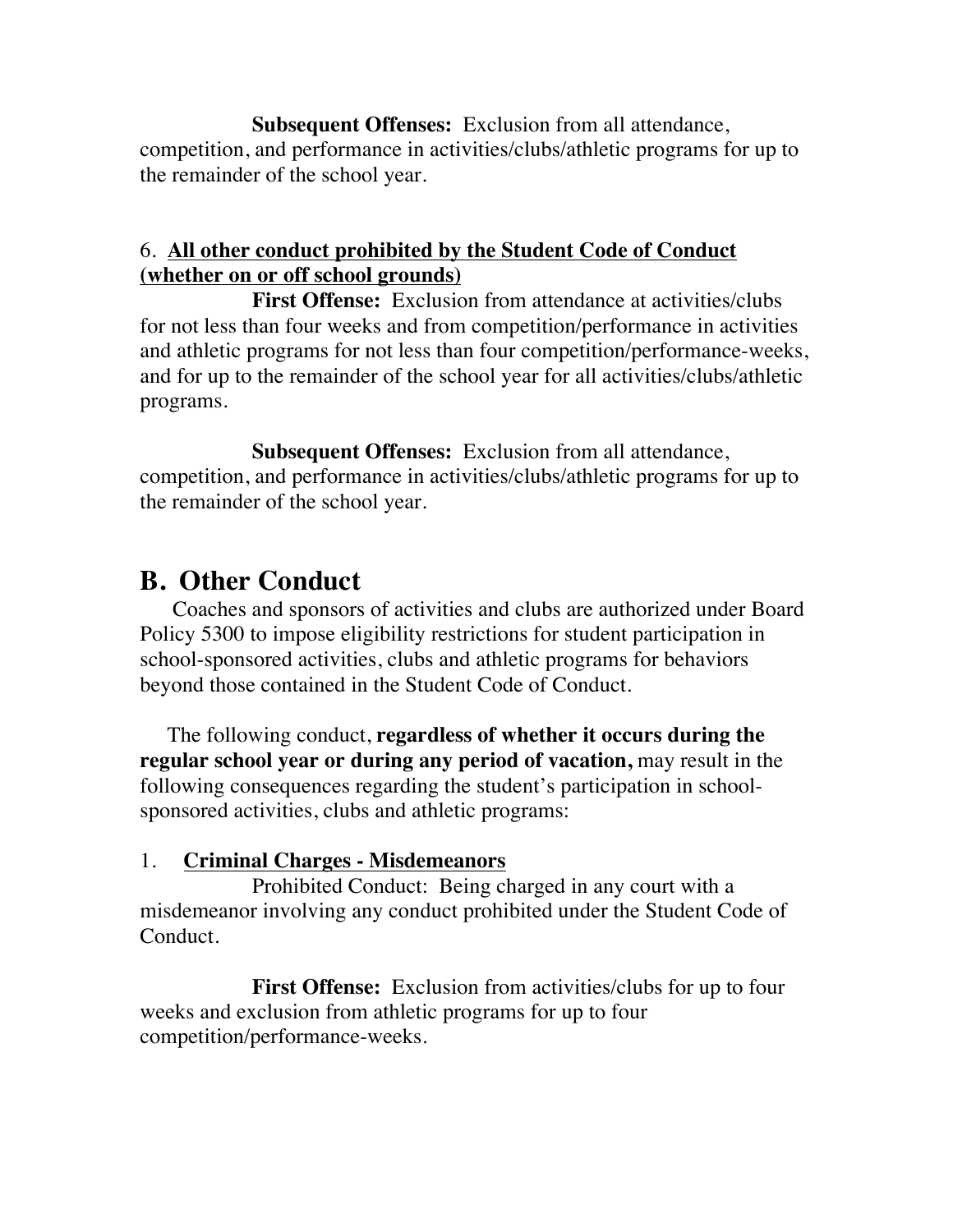**Subsequent Offenses:** Exclusion from all attendance, competition, and performance in activities/clubs/athletic programs for up to the remainder of the school year.

## 6. **All other conduct prohibited by the Student Code of Conduct (whether on or off school grounds)**

**First Offense:** Exclusion from attendance at activities/clubs for not less than four weeks and from competition/performance in activities and athletic programs for not less than four competition/performance-weeks, and for up to the remainder of the school year for all activities/clubs/athletic programs.

**Subsequent Offenses:** Exclusion from all attendance, competition, and performance in activities/clubs/athletic programs for up to the remainder of the school year.

## **B. Other Conduct**

 Coaches and sponsors of activities and clubs are authorized under Board Policy 5300 to impose eligibility restrictions for student participation in school-sponsored activities, clubs and athletic programs for behaviors beyond those contained in the Student Code of Conduct.

 The following conduct, **regardless of whether it occurs during the regular school year or during any period of vacation,** may result in the following consequences regarding the student's participation in schoolsponsored activities, clubs and athletic programs:

## 1. **Criminal Charges - Misdemeanors**

Prohibited Conduct: Being charged in any court with a misdemeanor involving any conduct prohibited under the Student Code of Conduct.

**First Offense:** Exclusion from activities/clubs for up to four weeks and exclusion from athletic programs for up to four competition/performance-weeks.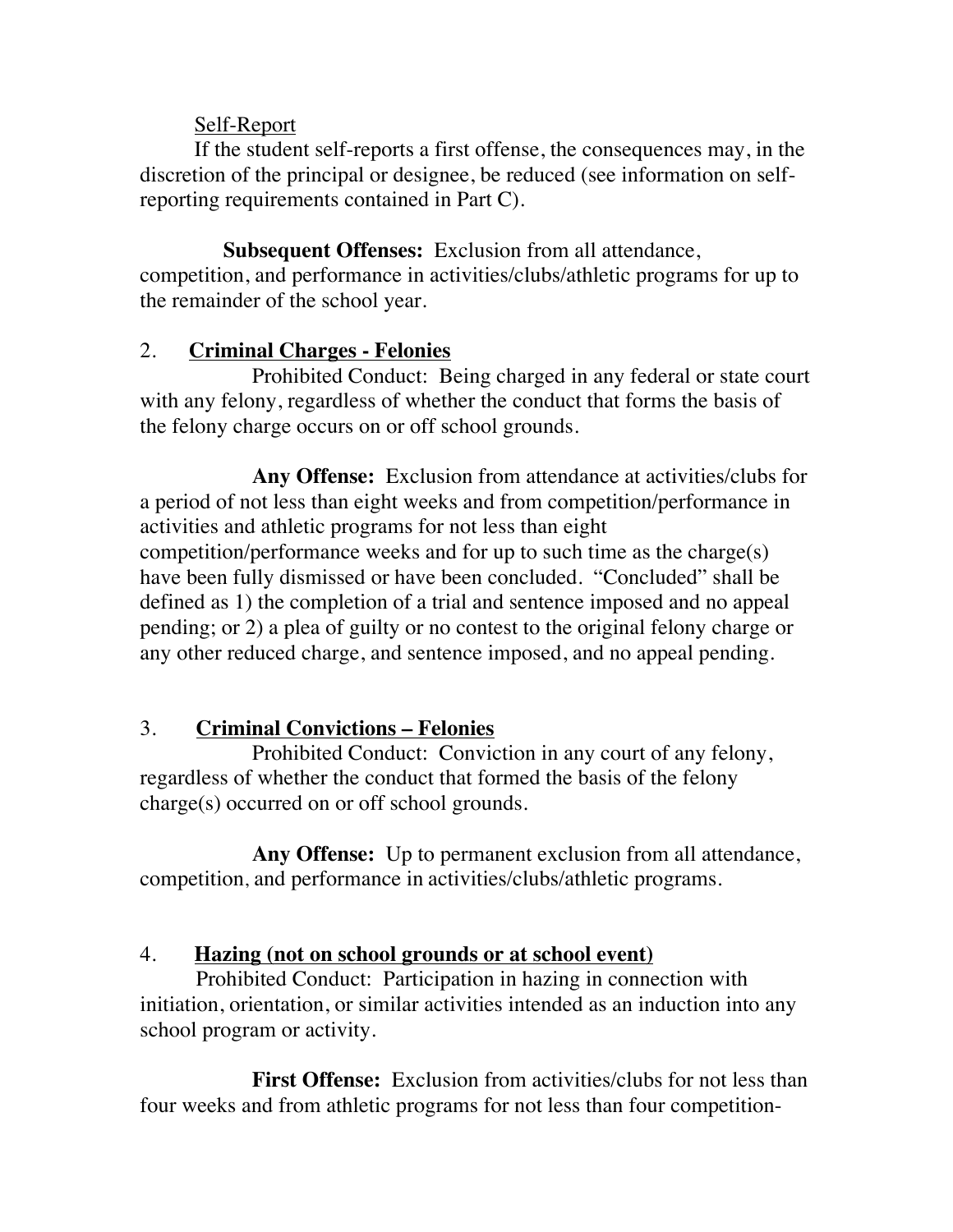### Self-Report

 If the student self-reports a first offense, the consequences may, in the discretion of the principal or designee, be reduced (see information on selfreporting requirements contained in Part C).

 **Subsequent Offenses:** Exclusion from all attendance, competition, and performance in activities/clubs/athletic programs for up to the remainder of the school year.

### 2. **Criminal Charges - Felonies**

Prohibited Conduct: Being charged in any federal or state court with any felony, regardless of whether the conduct that forms the basis of the felony charge occurs on or off school grounds.

**Any Offense:** Exclusion from attendance at activities/clubs for a period of not less than eight weeks and from competition/performance in activities and athletic programs for not less than eight competition/performance weeks and for up to such time as the charge(s) have been fully dismissed or have been concluded. "Concluded" shall be defined as 1) the completion of a trial and sentence imposed and no appeal pending; or 2) a plea of guilty or no contest to the original felony charge or any other reduced charge, and sentence imposed, and no appeal pending.

## 3. **Criminal Convictions – Felonies**

Prohibited Conduct: Conviction in any court of any felony, regardless of whether the conduct that formed the basis of the felony charge(s) occurred on or off school grounds.

**Any Offense:** Up to permanent exclusion from all attendance, competition, and performance in activities/clubs/athletic programs.

## 4. **Hazing (not on school grounds or at school event)**

Prohibited Conduct: Participation in hazing in connection with initiation, orientation, or similar activities intended as an induction into any school program or activity.

**First Offense:** Exclusion from activities/clubs for not less than four weeks and from athletic programs for not less than four competition